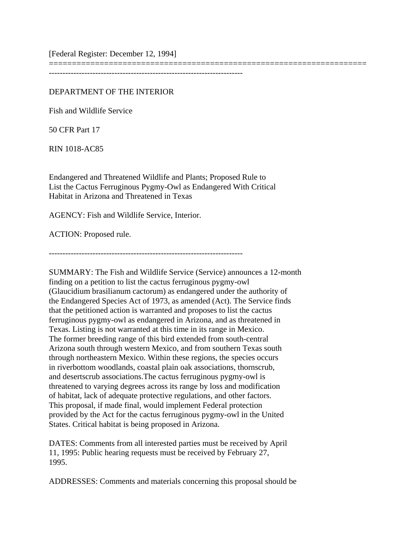[Federal Register: December 12, 1994]

===================================================================== -----------------------------------------------------------------------

# DEPARTMENT OF THE INTERIOR

Fish and Wildlife Service

50 CFR Part 17

RIN 1018-AC85

Endangered and Threatened Wildlife and Plants; Proposed Rule to List the Cactus Ferruginous Pygmy-Owl as Endangered With Critical Habitat in Arizona and Threatened in Texas

AGENCY: Fish and Wildlife Service, Interior.

ACTION: Proposed rule.

-----------------------------------------------------------------------

SUMMARY: The Fish and Wildlife Service (Service) announces a 12-month finding on a petition to list the cactus ferruginous pygmy-owl (Glaucidium brasilianum cactorum) as endangered under the authority of the Endangered Species Act of 1973, as amended (Act). The Service finds that the petitioned action is warranted and proposes to list the cactus ferruginous pygmy-owl as endangered in Arizona, and as threatened in Texas. Listing is not warranted at this time in its range in Mexico. The former breeding range of this bird extended from south-central Arizona south through western Mexico, and from southern Texas south through northeastern Mexico. Within these regions, the species occurs in riverbottom woodlands, coastal plain oak associations, thornscrub, and desertscrub associations.The cactus ferruginous pygmy-owl is threatened to varying degrees across its range by loss and modification of habitat, lack of adequate protective regulations, and other factors. This proposal, if made final, would implement Federal protection provided by the Act for the cactus ferruginous pygmy-owl in the United States. Critical habitat is being proposed in Arizona.

DATES: Comments from all interested parties must be received by April 11, 1995: Public hearing requests must be received by February 27, 1995.

ADDRESSES: Comments and materials concerning this proposal should be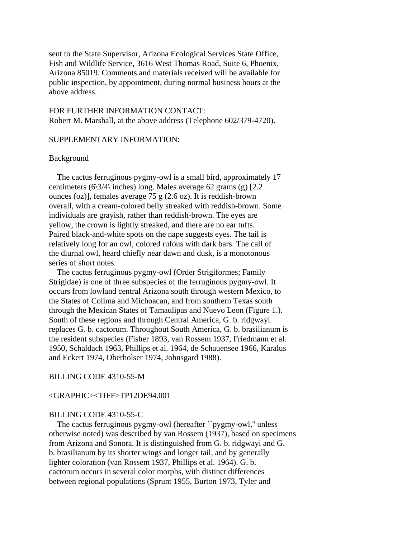sent to the State Supervisor, Arizona Ecological Services State Office, Fish and Wildlife Service, 3616 West Thomas Road, Suite 6, Phoenix, Arizona 85019. Comments and materials received will be available for public inspection, by appointment, during normal business hours at the above address.

FOR FURTHER INFORMATION CONTACT: Robert M. Marshall, at the above address (Telephone 602/379-4720).

# SUPPLEMENTARY INFORMATION:

# Background

 The cactus ferruginous pygmy-owl is a small bird, approximately 17 centimeters (6\3/4\ inches) long. Males average 62 grams (g) [2.2 ounces (oz)], females average 75 g (2.6 oz). It is reddish-brown overall, with a cream-colored belly streaked with reddish-brown. Some individuals are grayish, rather than reddish-brown. The eyes are yellow, the crown is lightly streaked, and there are no ear tufts. Paired black-and-white spots on the nape suggests eyes. The tail is relatively long for an owl, colored rufous with dark bars. The call of the diurnal owl, heard chiefly near dawn and dusk, is a monotonous series of short notes.

 The cactus ferruginous pygmy-owl (Order Strigiformes; Family Strigidae) is one of three subspecies of the ferruginous pygmy-owl. It occurs from lowland central Arizona south through western Mexico, to the States of Colima and Michoacan, and from southern Texas south through the Mexican States of Tamaulipas and Nuevo Leon (Figure 1.). South of these regions and through Central America, G. b. ridgwayi replaces G. b. cactorum. Throughout South America, G. b. brasilianum is the resident subspecies (Fisher 1893, van Rossem 1937, Friedmann et al. 1950, Schaldach 1963, Phillips et al. 1964, de Schauensee 1966, Karalus and Eckert 1974, Oberholser 1974, Johnsgard 1988).

# BILLING CODE 4310-55-M

#### <GRAPHIC><TIFF>TP12DE94.001

#### BILLING CODE 4310-55-C

 The cactus ferruginous pygmy-owl (hereafter ``pygmy-owl,'' unless otherwise noted) was described by van Rossem (1937), based on specimens from Arizona and Sonora. It is distinguished from G. b. ridgwayi and G. b. brasilianum by its shorter wings and longer tail, and by generally lighter coloration (van Rossem 1937, Phillips et al. 1964). G. b. cactorum occurs in several color morphs, with distinct differences between regional populations (Sprunt 1955, Burton 1973, Tyler and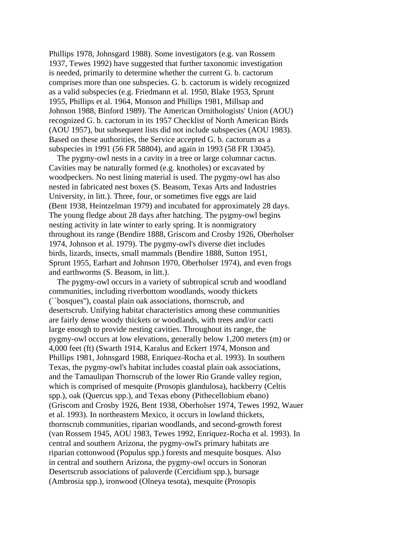Phillips 1978, Johnsgard 1988). Some investigators (e.g. van Rossem 1937, Tewes 1992) have suggested that further taxonomic investigation is needed, primarily to determine whether the current G. b. cactorum comprises more than one subspecies. G. b. cactorum is widely recognized as a valid subspecies (e.g. Friedmann et al. 1950, Blake 1953, Sprunt 1955, Phillips et al. 1964, Monson and Phillips 1981, Millsap and Johnson 1988, Binford 1989). The American Ornithologists' Union (AOU) recognized G. b. cactorum in its 1957 Checklist of North American Birds (AOU 1957), but subsequent lists did not include subspecies (AOU 1983). Based on these authorities, the Service accepted G. b. cactorum as a subspecies in 1991 (56 FR 58804), and again in 1993 (58 FR 13045).

 The pygmy-owl nests in a cavity in a tree or large columnar cactus. Cavities may be naturally formed (e.g. knotholes) or excavated by woodpeckers. No nest lining material is used. The pygmy-owl has also nested in fabricated nest boxes (S. Beasom, Texas Arts and Industries University, in litt.). Three, four, or sometimes five eggs are laid (Bent 1938, Heintzelman 1979) and incubated for approximately 28 days. The young fledge about 28 days after hatching. The pygmy-owl begins nesting activity in late winter to early spring. It is nonmigratory throughout its range (Bendire 1888, Griscom and Crosby 1926, Oberholser 1974, Johnson et al. 1979). The pygmy-owl's diverse diet includes birds, lizards, insects, small mammals (Bendire 1888, Sutton 1951, Sprunt 1955, Earhart and Johnson 1970, Oberholser 1974), and even frogs and earthworms (S. Beasom, in litt.).

 The pygmy-owl occurs in a variety of subtropical scrub and woodland communities, including riverbottom woodlands, woody thickets (``bosques''), coastal plain oak associations, thornscrub, and desertscrub. Unifying habitat characteristics among these communities are fairly dense woody thickets or woodlands, with trees and/or cacti large enough to provide nesting cavities. Throughout its range, the pygmy-owl occurs at low elevations, generally below 1,200 meters (m) or 4,000 feet (ft) (Swarth 1914, Karalus and Eckert 1974, Monson and Phillips 1981, Johnsgard 1988, Enriquez-Rocha et al. 1993). In southern Texas, the pygmy-owl's habitat includes coastal plain oak associations, and the Tamaulipan Thornscrub of the lower Rio Grande valley region, which is comprised of mesquite (Prosopis glandulosa), hackberry (Celtis spp.), oak (Quercus spp.), and Texas ebony (Pithecellobium ebano) (Griscom and Crosby 1926, Bent 1938, Oberholser 1974, Tewes 1992, Wauer et al. 1993). In northeastern Mexico, it occurs in lowland thickets, thornscrub communities, riparian woodlands, and second-growth forest (van Rossem 1945, AOU 1983, Tewes 1992, Enriquez-Rocha et al. 1993). In central and southern Arizona, the pygmy-owl's primary habitats are riparian cottonwood (Populus spp.) forests and mesquite bosques. Also in central and southern Arizona, the pygmy-owl occurs in Sonoran Desertscrub associations of paloverde (Cercidium spp.), bursage (Ambrosia spp.), ironwood (Olneya tesota), mesquite (Prosopis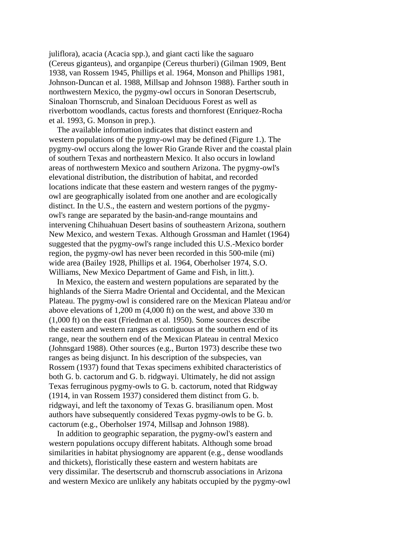juliflora), acacia (Acacia spp.), and giant cacti like the saguaro (Cereus giganteus), and organpipe (Cereus thurberi) (Gilman 1909, Bent 1938, van Rossem 1945, Phillips et al. 1964, Monson and Phillips 1981, Johnson-Duncan et al. 1988, Millsap and Johnson 1988). Farther south in northwestern Mexico, the pygmy-owl occurs in Sonoran Desertscrub, Sinaloan Thornscrub, and Sinaloan Deciduous Forest as well as riverbottom woodlands, cactus forests and thornforest (Enriquez-Rocha et al. 1993, G. Monson in prep.).

 The available information indicates that distinct eastern and western populations of the pygmy-owl may be defined (Figure 1.). The pygmy-owl occurs along the lower Rio Grande River and the coastal plain of southern Texas and northeastern Mexico. It also occurs in lowland areas of northwestern Mexico and southern Arizona. The pygmy-owl's elevational distribution, the distribution of habitat, and recorded locations indicate that these eastern and western ranges of the pygmyowl are geographically isolated from one another and are ecologically distinct. In the U.S., the eastern and western portions of the pygmyowl's range are separated by the basin-and-range mountains and intervening Chihuahuan Desert basins of southeastern Arizona, southern New Mexico, and western Texas. Although Grossman and Hamlet (1964) suggested that the pygmy-owl's range included this U.S.-Mexico border region, the pygmy-owl has never been recorded in this 500-mile (mi) wide area (Bailey 1928, Phillips et al. 1964, Oberholser 1974, S.O. Williams, New Mexico Department of Game and Fish, in litt.).

 In Mexico, the eastern and western populations are separated by the highlands of the Sierra Madre Oriental and Occidental, and the Mexican Plateau. The pygmy-owl is considered rare on the Mexican Plateau and/or above elevations of 1,200 m (4,000 ft) on the west, and above 330 m (1,000 ft) on the east (Friedman et al. 1950). Some sources describe the eastern and western ranges as contiguous at the southern end of its range, near the southern end of the Mexican Plateau in central Mexico (Johnsgard 1988). Other sources (e.g., Burton 1973) describe these two ranges as being disjunct. In his description of the subspecies, van Rossem (1937) found that Texas specimens exhibited characteristics of both G. b. cactorum and G. b. ridgwayi. Ultimately, he did not assign Texas ferruginous pygmy-owls to G. b. cactorum, noted that Ridgway (1914, in van Rossem 1937) considered them distinct from G. b. ridgwayi, and left the taxonomy of Texas G. brasilianum open. Most authors have subsequently considered Texas pygmy-owls to be G. b. cactorum (e.g., Oberholser 1974, Millsap and Johnson 1988).

 In addition to geographic separation, the pygmy-owl's eastern and western populations occupy different habitats. Although some broad similarities in habitat physiognomy are apparent (e.g., dense woodlands and thickets), floristically these eastern and western habitats are very dissimilar. The desertscrub and thornscrub associations in Arizona and western Mexico are unlikely any habitats occupied by the pygmy-owl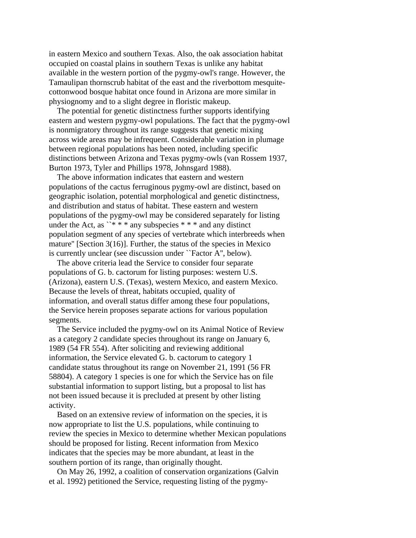in eastern Mexico and southern Texas. Also, the oak association habitat occupied on coastal plains in southern Texas is unlike any habitat available in the western portion of the pygmy-owl's range. However, the Tamaulipan thornscrub habitat of the east and the riverbottom mesquitecottonwood bosque habitat once found in Arizona are more similar in physiognomy and to a slight degree in floristic makeup.

 The potential for genetic distinctness further supports identifying eastern and western pygmy-owl populations. The fact that the pygmy-owl is nonmigratory throughout its range suggests that genetic mixing across wide areas may be infrequent. Considerable variation in plumage between regional populations has been noted, including specific distinctions between Arizona and Texas pygmy-owls (van Rossem 1937, Burton 1973, Tyler and Phillips 1978, Johnsgard 1988).

 The above information indicates that eastern and western populations of the cactus ferruginous pygmy-owl are distinct, based on geographic isolation, potential morphological and genetic distinctness, and distribution and status of habitat. These eastern and western populations of the pygmy-owl may be considered separately for listing under the Act, as ``\*\*\*\* any subspecies \*\*\*\* and any distinct population segment of any species of vertebrate which interbreeds when mature'' [Section 3(16)]. Further, the status of the species in Mexico is currently unclear (see discussion under ``Factor A'', below).

 The above criteria lead the Service to consider four separate populations of G. b. cactorum for listing purposes: western U.S. (Arizona), eastern U.S. (Texas), western Mexico, and eastern Mexico. Because the levels of threat, habitats occupied, quality of information, and overall status differ among these four populations, the Service herein proposes separate actions for various population segments.

 The Service included the pygmy-owl on its Animal Notice of Review as a category 2 candidate species throughout its range on January 6, 1989 (54 FR 554). After soliciting and reviewing additional information, the Service elevated G. b. cactorum to category 1 candidate status throughout its range on November 21, 1991 (56 FR 58804). A category 1 species is one for which the Service has on file substantial information to support listing, but a proposal to list has not been issued because it is precluded at present by other listing activity.

 Based on an extensive review of information on the species, it is now appropriate to list the U.S. populations, while continuing to review the species in Mexico to determine whether Mexican populations should be proposed for listing. Recent information from Mexico indicates that the species may be more abundant, at least in the southern portion of its range, than originally thought.

 On May 26, 1992, a coalition of conservation organizations (Galvin et al. 1992) petitioned the Service, requesting listing of the pygmy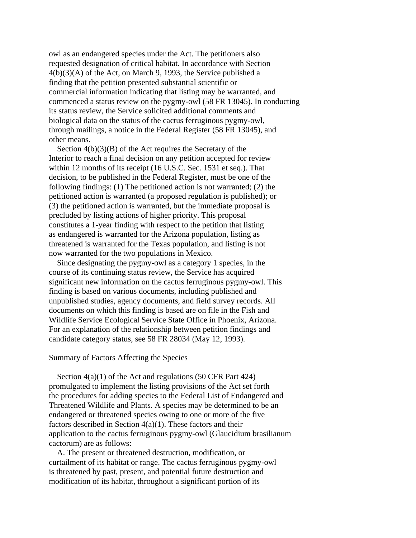owl as an endangered species under the Act. The petitioners also requested designation of critical habitat. In accordance with Section 4(b)(3)(A) of the Act, on March 9, 1993, the Service published a finding that the petition presented substantial scientific or commercial information indicating that listing may be warranted, and commenced a status review on the pygmy-owl (58 FR 13045). In conducting its status review, the Service solicited additional comments and biological data on the status of the cactus ferruginous pygmy-owl, through mailings, a notice in the Federal Register (58 FR 13045), and other means.

Section  $4(b)(3)(B)$  of the Act requires the Secretary of the Interior to reach a final decision on any petition accepted for review within 12 months of its receipt (16 U.S.C. Sec. 1531 et seq.). That decision, to be published in the Federal Register, must be one of the following findings: (1) The petitioned action is not warranted; (2) the petitioned action is warranted (a proposed regulation is published); or (3) the petitioned action is warranted, but the immediate proposal is precluded by listing actions of higher priority. This proposal constitutes a 1-year finding with respect to the petition that listing as endangered is warranted for the Arizona population, listing as threatened is warranted for the Texas population, and listing is not now warranted for the two populations in Mexico.

 Since designating the pygmy-owl as a category 1 species, in the course of its continuing status review, the Service has acquired significant new information on the cactus ferruginous pygmy-owl. This finding is based on various documents, including published and unpublished studies, agency documents, and field survey records. All documents on which this finding is based are on file in the Fish and Wildlife Service Ecological Service State Office in Phoenix, Arizona. For an explanation of the relationship between petition findings and candidate category status, see 58 FR 28034 (May 12, 1993).

#### Summary of Factors Affecting the Species

 Section 4(a)(1) of the Act and regulations (50 CFR Part 424) promulgated to implement the listing provisions of the Act set forth the procedures for adding species to the Federal List of Endangered and Threatened Wildlife and Plants. A species may be determined to be an endangered or threatened species owing to one or more of the five factors described in Section  $4(a)(1)$ . These factors and their application to the cactus ferruginous pygmy-owl (Glaucidium brasilianum cactorum) are as follows:

 A. The present or threatened destruction, modification, or curtailment of its habitat or range. The cactus ferruginous pygmy-owl is threatened by past, present, and potential future destruction and modification of its habitat, throughout a significant portion of its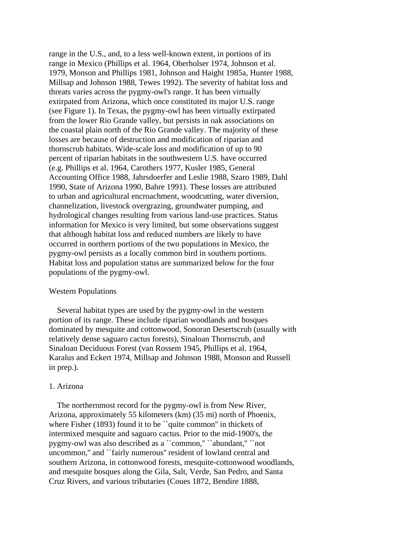range in the U.S., and, to a less well-known extent, in portions of its range in Mexico (Phillips et al. 1964, Oberholser 1974, Johnson et al. 1979, Monson and Phillips 1981, Johnson and Haight 1985a, Hunter 1988, Millsap and Johnson 1988, Tewes 1992). The severity of habitat loss and threats varies across the pygmy-owl's range. It has been virtually extirpated from Arizona, which once constituted its major U.S. range (see Figure 1). In Texas, the pygmy-owl has been virtually extirpated from the lower Rio Grande valley, but persists in oak associations on the coastal plain north of the Rio Grande valley. The majority of these losses are because of destruction and modification of riparian and thornscrub habitats. Wide-scale loss and modification of up to 90 percent of riparian habitats in the southwestern U.S. have occurred (e.g. Phillips et al. 1964, Carothers 1977, Kusler 1985, General Accounting Office 1988, Jahrsdoerfer and Leslie 1988, Szaro 1989, Dahl 1990, State of Arizona 1990, Bahre 1991). These losses are attributed to urban and agricultural encroachment, woodcutting, water diversion, channelization, livestock overgrazing, groundwater pumping, and hydrological changes resulting from various land-use practices. Status information for Mexico is very limited, but some observations suggest that although habitat loss and reduced numbers are likely to have occurred in northern portions of the two populations in Mexico, the pygmy-owl persists as a locally common bird in southern portions. Habitat loss and population status are summarized below for the four populations of the pygmy-owl.

# Western Populations

 Several habitat types are used by the pygmy-owl in the western portion of its range. These include riparian woodlands and bosques dominated by mesquite and cottonwood, Sonoran Desertscrub (usually with relatively dense saguaro cactus forests), Sinaloan Thornscrub, and Sinaloan Deciduous Forest (van Rossem 1945, Phillips et al. 1964, Karalus and Eckert 1974, Millsap and Johnson 1988, Monson and Russell in prep.).

#### 1. Arizona

 The northernmost record for the pygmy-owl is from New River, Arizona, approximately 55 kilometers (km) (35 mi) north of Phoenix, where Fisher (1893) found it to be "quite common" in thickets of intermixed mesquite and saguaro cactus. Prior to the mid-1900's, the pygmy-owl was also described as a ``common,'' ``abundant,'' ``not uncommon,'' and ``fairly numerous'' resident of lowland central and southern Arizona, in cottonwood forests, mesquite-cottonwood woodlands, and mesquite bosques along the Gila, Salt, Verde, San Pedro, and Santa Cruz Rivers, and various tributaries (Coues 1872, Bendire 1888,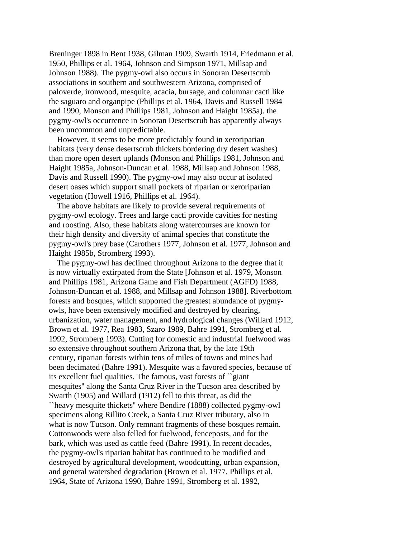Breninger 1898 in Bent 1938, Gilman 1909, Swarth 1914, Friedmann et al. 1950, Phillips et al. 1964, Johnson and Simpson 1971, Millsap and Johnson 1988). The pygmy-owl also occurs in Sonoran Desertscrub associations in southern and southwestern Arizona, comprised of paloverde, ironwood, mesquite, acacia, bursage, and columnar cacti like the saguaro and organpipe (Phillips et al. 1964, Davis and Russell 1984 and 1990, Monson and Phillips 1981, Johnson and Haight 1985a). the pygmy-owl's occurrence in Sonoran Desertscrub has apparently always been uncommon and unpredictable.

 However, it seems to be more predictably found in xeroriparian habitats (very dense desertscrub thickets bordering dry desert washes) than more open desert uplands (Monson and Phillips 1981, Johnson and Haight 1985a, Johnson-Duncan et al. 1988, Millsap and Johnson 1988, Davis and Russell 1990). The pygmy-owl may also occur at isolated desert oases which support small pockets of riparian or xeroriparian vegetation (Howell 1916, Phillips et al. 1964).

 The above habitats are likely to provide several requirements of pygmy-owl ecology. Trees and large cacti provide cavities for nesting and roosting. Also, these habitats along watercourses are known for their high density and diversity of animal species that constitute the pygmy-owl's prey base (Carothers 1977, Johnson et al. 1977, Johnson and Haight 1985b, Stromberg 1993).

 The pygmy-owl has declined throughout Arizona to the degree that it is now virtually extirpated from the State [Johnson et al. 1979, Monson and Phillips 1981, Arizona Game and Fish Department (AGFD) 1988, Johnson-Duncan et al. 1988, and Millsap and Johnson 1988]. Riverbottom forests and bosques, which supported the greatest abundance of pygmyowls, have been extensively modified and destroyed by clearing, urbanization, water management, and hydrological changes (Willard 1912, Brown et al. 1977, Rea 1983, Szaro 1989, Bahre 1991, Stromberg et al. 1992, Stromberg 1993). Cutting for domestic and industrial fuelwood was so extensive throughout southern Arizona that, by the late 19th century, riparian forests within tens of miles of towns and mines had been decimated (Bahre 1991). Mesquite was a favored species, because of its excellent fuel qualities. The famous, vast forests of ``giant mesquites'' along the Santa Cruz River in the Tucson area described by Swarth (1905) and Willard (1912) fell to this threat, as did the ``heavy mesquite thickets'' where Bendire (1888) collected pygmy-owl specimens along Rillito Creek, a Santa Cruz River tributary, also in what is now Tucson. Only remnant fragments of these bosques remain. Cottonwoods were also felled for fuelwood, fenceposts, and for the bark, which was used as cattle feed (Bahre 1991). In recent decades, the pygmy-owl's riparian habitat has continued to be modified and destroyed by agricultural development, woodcutting, urban expansion, and general watershed degradation (Brown et al. 1977, Phillips et al. 1964, State of Arizona 1990, Bahre 1991, Stromberg et al. 1992,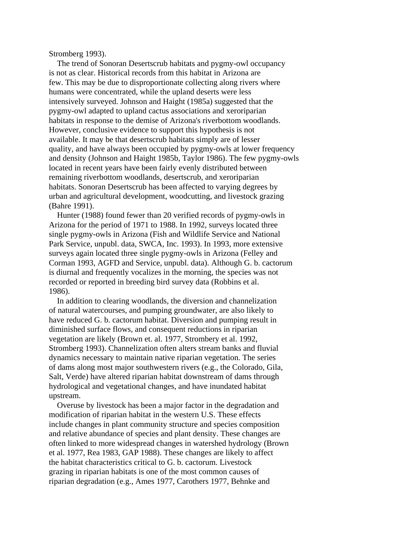Stromberg 1993).

 The trend of Sonoran Desertscrub habitats and pygmy-owl occupancy is not as clear. Historical records from this habitat in Arizona are few. This may be due to disproportionate collecting along rivers where humans were concentrated, while the upland deserts were less intensively surveyed. Johnson and Haight (1985a) suggested that the pygmy-owl adapted to upland cactus associations and xeroriparian habitats in response to the demise of Arizona's riverbottom woodlands. However, conclusive evidence to support this hypothesis is not available. It may be that desertscrub habitats simply are of lesser quality, and have always been occupied by pygmy-owls at lower frequency and density (Johnson and Haight 1985b, Taylor 1986). The few pygmy-owls located in recent years have been fairly evenly distributed between remaining riverbottom woodlands, desertscrub, and xeroriparian habitats. Sonoran Desertscrub has been affected to varying degrees by urban and agricultural development, woodcutting, and livestock grazing (Bahre 1991).

 Hunter (1988) found fewer than 20 verified records of pygmy-owls in Arizona for the period of 1971 to 1988. In 1992, surveys located three single pygmy-owls in Arizona (Fish and Wildlife Service and National Park Service, unpubl. data, SWCA, Inc. 1993). In 1993, more extensive surveys again located three single pygmy-owls in Arizona (Felley and Corman 1993, AGFD and Service, unpubl. data). Although G. b. cactorum is diurnal and frequently vocalizes in the morning, the species was not recorded or reported in breeding bird survey data (Robbins et al. 1986).

 In addition to clearing woodlands, the diversion and channelization of natural watercourses, and pumping groundwater, are also likely to have reduced G. b. cactorum habitat. Diversion and pumping result in diminished surface flows, and consequent reductions in riparian vegetation are likely (Brown et. al. 1977, Strombery et al. 1992, Stromberg 1993). Channelization often alters stream banks and fluvial dynamics necessary to maintain native riparian vegetation. The series of dams along most major southwestern rivers (e.g., the Colorado, Gila, Salt, Verde) have altered riparian habitat downstream of dams through hydrological and vegetational changes, and have inundated habitat upstream.

 Overuse by livestock has been a major factor in the degradation and modification of riparian habitat in the western U.S. These effects include changes in plant community structure and species composition and relative abundance of species and plant density. These changes are often linked to more widespread changes in watershed hydrology (Brown et al. 1977, Rea 1983, GAP 1988). These changes are likely to affect the habitat characteristics critical to G. b. cactorum. Livestock grazing in riparian habitats is one of the most common causes of riparian degradation (e.g., Ames 1977, Carothers 1977, Behnke and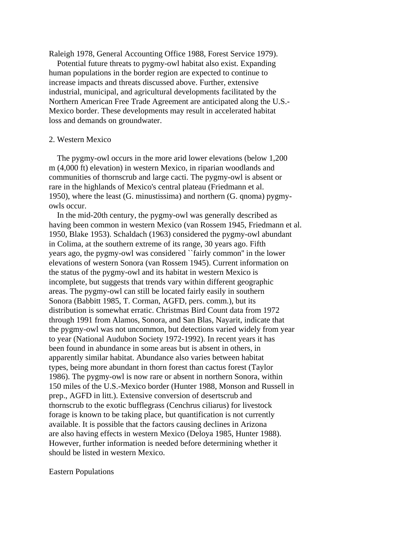Raleigh 1978, General Accounting Office 1988, Forest Service 1979).

 Potential future threats to pygmy-owl habitat also exist. Expanding human populations in the border region are expected to continue to increase impacts and threats discussed above. Further, extensive industrial, municipal, and agricultural developments facilitated by the Northern American Free Trade Agreement are anticipated along the U.S.- Mexico border. These developments may result in accelerated habitat loss and demands on groundwater.

## 2. Western Mexico

 The pygmy-owl occurs in the more arid lower elevations (below 1,200 m (4,000 ft) elevation) in western Mexico, in riparian woodlands and communities of thornscrub and large cacti. The pygmy-owl is absent or rare in the highlands of Mexico's central plateau (Friedmann et al. 1950), where the least (G. minustissima) and northern (G. qnoma) pygmyowls occur.

 In the mid-20th century, the pygmy-owl was generally described as having been common in western Mexico (van Rossem 1945, Friedmann et al. 1950, Blake 1953). Schaldach (1963) considered the pygmy-owl abundant in Colima, at the southern extreme of its range, 30 years ago. Fifth years ago, the pygmy-owl was considered ``fairly common'' in the lower elevations of western Sonora (van Rossem 1945). Current information on the status of the pygmy-owl and its habitat in western Mexico is incomplete, but suggests that trends vary within different geographic areas. The pygmy-owl can still be located fairly easily in southern Sonora (Babbitt 1985, T. Corman, AGFD, pers. comm.), but its distribution is somewhat erratic. Christmas Bird Count data from 1972 through 1991 from Alamos, Sonora, and San Blas, Nayarit, indicate that the pygmy-owl was not uncommon, but detections varied widely from year to year (National Audubon Society 1972-1992). In recent years it has been found in abundance in some areas but is absent in others, in apparently similar habitat. Abundance also varies between habitat types, being more abundant in thorn forest than cactus forest (Taylor 1986). The pygmy-owl is now rare or absent in northern Sonora, within 150 miles of the U.S.-Mexico border (Hunter 1988, Monson and Russell in prep., AGFD in litt.). Extensive conversion of desertscrub and thornscrub to the exotic bufflegrass (Cenchrus ciliarus) for livestock forage is known to be taking place, but quantification is not currently available. It is possible that the factors causing declines in Arizona are also having effects in western Mexico (Deloya 1985, Hunter 1988). However, further information is needed before determining whether it should be listed in western Mexico.

#### Eastern Populations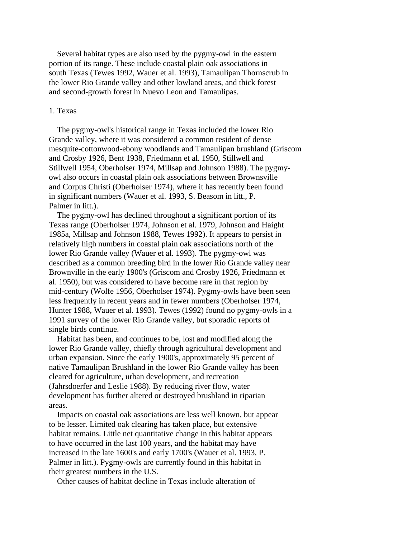Several habitat types are also used by the pygmy-owl in the eastern portion of its range. These include coastal plain oak associations in south Texas (Tewes 1992, Wauer et al. 1993), Tamaulipan Thornscrub in the lower Rio Grande valley and other lowland areas, and thick forest and second-growth forest in Nuevo Leon and Tamaulipas.

#### 1. Texas

 The pygmy-owl's historical range in Texas included the lower Rio Grande valley, where it was considered a common resident of dense mesquite-cottonwood-ebony woodlands and Tamaulipan brushland (Griscom and Crosby 1926, Bent 1938, Friedmann et al. 1950, Stillwell and Stillwell 1954, Oberholser 1974, Millsap and Johnson 1988). The pygmyowl also occurs in coastal plain oak associations between Brownsville and Corpus Christi (Oberholser 1974), where it has recently been found in significant numbers (Wauer et al. 1993, S. Beasom in litt., P. Palmer in litt.).

 The pygmy-owl has declined throughout a significant portion of its Texas range (Oberholser 1974, Johnson et al. 1979, Johnson and Haight 1985a, Millsap and Johnson 1988, Tewes 1992). It appears to persist in relatively high numbers in coastal plain oak associations north of the lower Rio Grande valley (Wauer et al. 1993). The pygmy-owl was described as a common breeding bird in the lower Rio Grande valley near Brownville in the early 1900's (Griscom and Crosby 1926, Friedmann et al. 1950), but was considered to have become rare in that region by mid-century (Wolfe 1956, Oberholser 1974). Pygmy-owls have been seen less frequently in recent years and in fewer numbers (Oberholser 1974, Hunter 1988, Wauer et al. 1993). Tewes (1992) found no pygmy-owls in a 1991 survey of the lower Rio Grande valley, but sporadic reports of single birds continue.

 Habitat has been, and continues to be, lost and modified along the lower Rio Grande valley, chiefly through agricultural development and urban expansion. Since the early 1900's, approximately 95 percent of native Tamaulipan Brushland in the lower Rio Grande valley has been cleared for agriculture, urban development, and recreation (Jahrsdoerfer and Leslie 1988). By reducing river flow, water development has further altered or destroyed brushland in riparian areas.

 Impacts on coastal oak associations are less well known, but appear to be lesser. Limited oak clearing has taken place, but extensive habitat remains. Little net quantitative change in this habitat appears to have occurred in the last 100 years, and the habitat may have increased in the late 1600's and early 1700's (Wauer et al. 1993, P. Palmer in litt.). Pygmy-owls are currently found in this habitat in their greatest numbers in the U.S.

Other causes of habitat decline in Texas include alteration of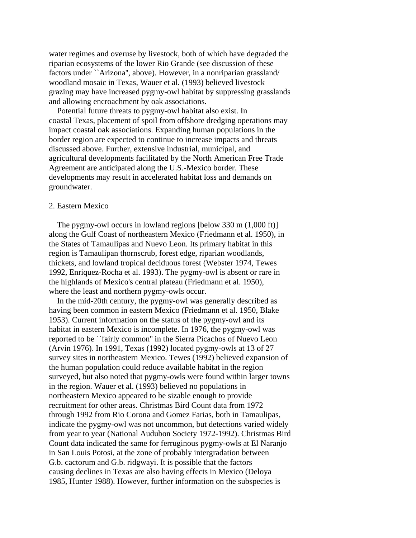water regimes and overuse by livestock, both of which have degraded the riparian ecosystems of the lower Rio Grande (see discussion of these factors under ``Arizona'', above). However, in a nonriparian grassland/ woodland mosaic in Texas, Wauer et al. (1993) believed livestock grazing may have increased pygmy-owl habitat by suppressing grasslands and allowing encroachment by oak associations.

 Potential future threats to pygmy-owl habitat also exist. In coastal Texas, placement of spoil from offshore dredging operations may impact coastal oak associations. Expanding human populations in the border region are expected to continue to increase impacts and threats discussed above. Further, extensive industrial, municipal, and agricultural developments facilitated by the North American Free Trade Agreement are anticipated along the U.S.-Mexico border. These developments may result in accelerated habitat loss and demands on groundwater.

# 2. Eastern Mexico

 The pygmy-owl occurs in lowland regions [below 330 m (1,000 ft)] along the Gulf Coast of northeastern Mexico (Friedmann et al. 1950), in the States of Tamaulipas and Nuevo Leon. Its primary habitat in this region is Tamaulipan thornscrub, forest edge, riparian woodlands, thickets, and lowland tropical deciduous forest (Webster 1974, Tewes 1992, Enriquez-Rocha et al. 1993). The pygmy-owl is absent or rare in the highlands of Mexico's central plateau (Friedmann et al. 1950), where the least and northern pygmy-owls occur.

 In the mid-20th century, the pygmy-owl was generally described as having been common in eastern Mexico (Friedmann et al. 1950, Blake 1953). Current information on the status of the pygmy-owl and its habitat in eastern Mexico is incomplete. In 1976, the pygmy-owl was reported to be ``fairly common'' in the Sierra Picachos of Nuevo Leon (Arvin 1976). In 1991, Texas (1992) located pygmy-owls at 13 of 27 survey sites in northeastern Mexico. Tewes (1992) believed expansion of the human population could reduce available habitat in the region surveyed, but also noted that pygmy-owls were found within larger towns in the region. Wauer et al. (1993) believed no populations in northeastern Mexico appeared to be sizable enough to provide recruitment for other areas. Christmas Bird Count data from 1972 through 1992 from Rio Corona and Gomez Farias, both in Tamaulipas, indicate the pygmy-owl was not uncommon, but detections varied widely from year to year (National Audubon Society 1972-1992). Christmas Bird Count data indicated the same for ferruginous pygmy-owls at El Naranjo in San Louis Potosi, at the zone of probably intergradation between G.b. cactorum and G.b. ridgwayi. It is possible that the factors causing declines in Texas are also having effects in Mexico (Deloya 1985, Hunter 1988). However, further information on the subspecies is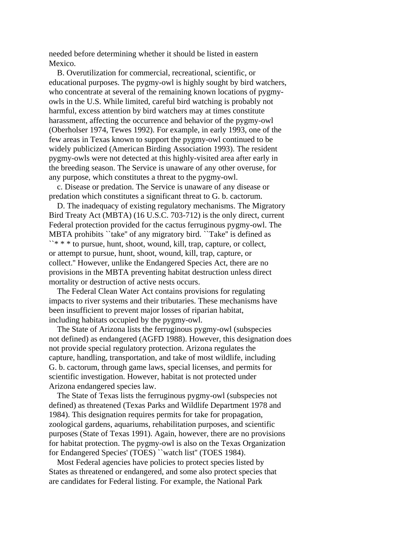needed before determining whether it should be listed in eastern Mexico.

 B. Overutilization for commercial, recreational, scientific, or educational purposes. The pygmy-owl is highly sought by bird watchers, who concentrate at several of the remaining known locations of pygmyowls in the U.S. While limited, careful bird watching is probably not harmful, excess attention by bird watchers may at times constitute harassment, affecting the occurrence and behavior of the pygmy-owl (Oberholser 1974, Tewes 1992). For example, in early 1993, one of the few areas in Texas known to support the pygmy-owl continued to be widely publicized (American Birding Association 1993). The resident pygmy-owls were not detected at this highly-visited area after early in the breeding season. The Service is unaware of any other overuse, for any purpose, which constitutes a threat to the pygmy-owl.

 c. Disease or predation. The Service is unaware of any disease or predation which constitutes a significant threat to G. b. cactorum.

 D. The inadequacy of existing regulatory mechanisms. The Migratory Bird Treaty Act (MBTA) (16 U.S.C. 703-712) is the only direct, current Federal protection provided for the cactus ferruginous pygmy-owl. The MBTA prohibits ``take'' of any migratory bird. ``Take'' is defined as \*\*\*\* to pursue, hunt, shoot, wound, kill, trap, capture, or collect, or attempt to pursue, hunt, shoot, wound, kill, trap, capture, or collect.'' However, unlike the Endangered Species Act, there are no provisions in the MBTA preventing habitat destruction unless direct mortality or destruction of active nests occurs.

 The Federal Clean Water Act contains provisions for regulating impacts to river systems and their tributaries. These mechanisms have been insufficient to prevent major losses of riparian habitat, including habitats occupied by the pygmy-owl.

 The State of Arizona lists the ferruginous pygmy-owl (subspecies not defined) as endangered (AGFD 1988). However, this designation does not provide special regulatory protection. Arizona regulates the capture, handling, transportation, and take of most wildlife, including G. b. cactorum, through game laws, special licenses, and permits for scientific investigation. However, habitat is not protected under Arizona endangered species law.

 The State of Texas lists the ferruginous pygmy-owl (subspecies not defined) as threatened (Texas Parks and Wildlife Department 1978 and 1984). This designation requires permits for take for propagation, zoological gardens, aquariums, rehabilitation purposes, and scientific purposes (State of Texas 1991). Again, however, there are no provisions for habitat protection. The pygmy-owl is also on the Texas Organization for Endangered Species' (TOES) ``watch list'' (TOES 1984).

 Most Federal agencies have policies to protect species listed by States as threatened or endangered, and some also protect species that are candidates for Federal listing. For example, the National Park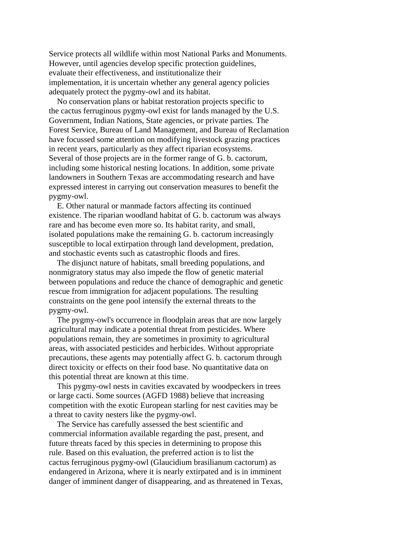Service protects all wildlife within most National Parks and Monuments. However, until agencies develop specific protection guidelines, evaluate their effectiveness, and institutionalize their implementation, it is uncertain whether any general agency policies adequately protect the pygmy-owl and its habitat.

 No conservation plans or habitat restoration projects specific to the cactus ferruginous pygmy-owl exist for lands managed by the U.S. Government, Indian Nations, State agencies, or private parties. The Forest Service, Bureau of Land Management, and Bureau of Reclamation have focussed some attention on modifying livestock grazing practices in recent years, particularly as they affect riparian ecosystems. Several of those projects are in the former range of G. b. cactorum, including some historical nesting locations. In addition, some private landowners in Southern Texas are accommodating research and have expressed interest in carrying out conservation measures to benefit the pygmy-owl.

 E. Other natural or manmade factors affecting its continued existence. The riparian woodland habitat of G. b. cactorum was always rare and has become even more so. Its habitat rarity, and small, isolated populations make the remaining G. b. cactorum increasingly susceptible to local extirpation through land development, predation, and stochastic events such as catastrophic floods and fires.

 The disjunct nature of habitats, small breeding populations, and nonmigratory status may also impede the flow of genetic material between populations and reduce the chance of demographic and genetic rescue from immigration for adjacent populations. The resulting constraints on the gene pool intensify the external threats to the pygmy-owl.

 The pygmy-owl's occurrence in floodplain areas that are now largely agricultural may indicate a potential threat from pesticides. Where populations remain, they are sometimes in proximity to agricultural areas, with associated pesticides and herbicides. Without appropriate precautions, these agents may potentially affect G. b. cactorum through direct toxicity or effects on their food base. No quantitative data on this potential threat are known at this time.

 This pygmy-owl nests in cavities excavated by woodpeckers in trees or large cacti. Some sources (AGFD 1988) believe that increasing competition with the exotic European starling for nest cavities may be a threat to cavity nesters like the pygmy-owl.

 The Service has carefully assessed the best scientific and commercial information available regarding the past, present, and future threats faced by this species in determining to propose this rule. Based on this evaluation, the preferred action is to list the cactus ferruginous pygmy-owl (Glaucidium brasilianum cactorum) as endangered in Arizona, where it is nearly extirpated and is in imminent danger of imminent danger of disappearing, and as threatened in Texas,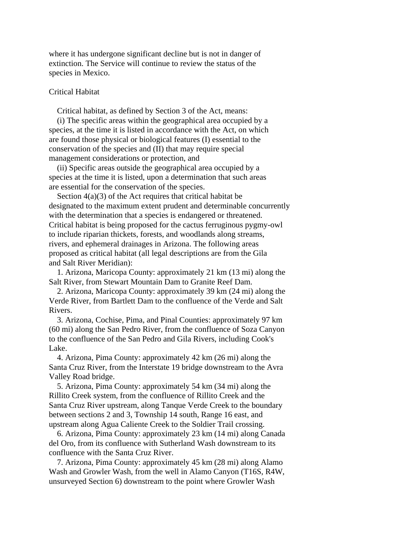where it has undergone significant decline but is not in danger of extinction. The Service will continue to review the status of the species in Mexico.

# Critical Habitat

Critical habitat, as defined by Section 3 of the Act, means:

 (i) The specific areas within the geographical area occupied by a species, at the time it is listed in accordance with the Act, on which are found those physical or biological features (I) essential to the conservation of the species and (II) that may require special management considerations or protection, and

 (ii) Specific areas outside the geographical area occupied by a species at the time it is listed, upon a determination that such areas are essential for the conservation of the species.

Section  $4(a)(3)$  of the Act requires that critical habitat be designated to the maximum extent prudent and determinable concurrently with the determination that a species is endangered or threatened. Critical habitat is being proposed for the cactus ferruginous pygmy-owl to include riparian thickets, forests, and woodlands along streams, rivers, and ephemeral drainages in Arizona. The following areas proposed as critical habitat (all legal descriptions are from the Gila and Salt River Meridian):

 1. Arizona, Maricopa County: approximately 21 km (13 mi) along the Salt River, from Stewart Mountain Dam to Granite Reef Dam.

 2. Arizona, Maricopa County: approximately 39 km (24 mi) along the Verde River, from Bartlett Dam to the confluence of the Verde and Salt Rivers.

 3. Arizona, Cochise, Pima, and Pinal Counties: approximately 97 km (60 mi) along the San Pedro River, from the confluence of Soza Canyon to the confluence of the San Pedro and Gila Rivers, including Cook's Lake.

 4. Arizona, Pima County: approximately 42 km (26 mi) along the Santa Cruz River, from the Interstate 19 bridge downstream to the Avra Valley Road bridge.

 5. Arizona, Pima County: approximately 54 km (34 mi) along the Rillito Creek system, from the confluence of Rillito Creek and the Santa Cruz River upstream, along Tanque Verde Creek to the boundary between sections 2 and 3, Township 14 south, Range 16 east, and upstream along Agua Caliente Creek to the Soldier Trail crossing.

 6. Arizona, Pima County: approximately 23 km (14 mi) along Canada del Oro, from its confluence with Sutherland Wash downstream to its confluence with the Santa Cruz River.

 7. Arizona, Pima County: approximately 45 km (28 mi) along Alamo Wash and Growler Wash, from the well in Alamo Canyon (T16S, R4W, unsurveyed Section 6) downstream to the point where Growler Wash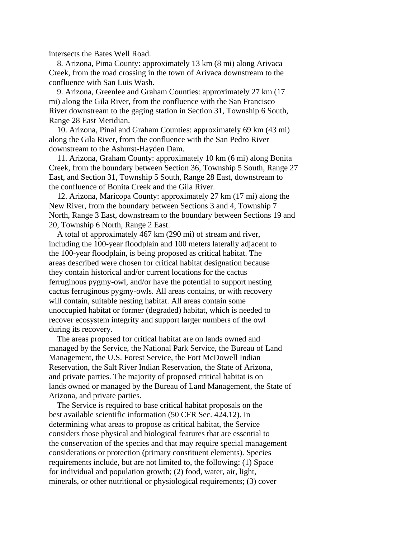intersects the Bates Well Road.

 8. Arizona, Pima County: approximately 13 km (8 mi) along Arivaca Creek, from the road crossing in the town of Arivaca downstream to the confluence with San Luis Wash.

 9. Arizona, Greenlee and Graham Counties: approximately 27 km (17 mi) along the Gila River, from the confluence with the San Francisco River downstream to the gaging station in Section 31, Township 6 South, Range 28 East Meridian.

 10. Arizona, Pinal and Graham Counties: approximately 69 km (43 mi) along the Gila River, from the confluence with the San Pedro River downstream to the Ashurst-Hayden Dam.

 11. Arizona, Graham County: approximately 10 km (6 mi) along Bonita Creek, from the boundary between Section 36, Township 5 South, Range 27 East, and Section 31, Township 5 South, Range 28 East, downstream to the confluence of Bonita Creek and the Gila River.

 12. Arizona, Maricopa County: approximately 27 km (17 mi) along the New River, from the boundary between Sections 3 and 4, Township 7 North, Range 3 East, downstream to the boundary between Sections 19 and 20, Township 6 North, Range 2 East.

 A total of approximately 467 km (290 mi) of stream and river, including the 100-year floodplain and 100 meters laterally adjacent to the 100-year floodplain, is being proposed as critical habitat. The areas described were chosen for critical habitat designation because they contain historical and/or current locations for the cactus ferruginous pygmy-owl, and/or have the potential to support nesting cactus ferruginous pygmy-owls. All areas contains, or with recovery will contain, suitable nesting habitat. All areas contain some unoccupied habitat or former (degraded) habitat, which is needed to recover ecosystem integrity and support larger numbers of the owl during its recovery.

 The areas proposed for critical habitat are on lands owned and managed by the Service, the National Park Service, the Bureau of Land Management, the U.S. Forest Service, the Fort McDowell Indian Reservation, the Salt River Indian Reservation, the State of Arizona, and private parties. The majority of proposed critical habitat is on lands owned or managed by the Bureau of Land Management, the State of Arizona, and private parties.

 The Service is required to base critical habitat proposals on the best available scientific information (50 CFR Sec. 424.12). In determining what areas to propose as critical habitat, the Service considers those physical and biological features that are essential to the conservation of the species and that may require special management considerations or protection (primary constituent elements). Species requirements include, but are not limited to, the following: (1) Space for individual and population growth; (2) food, water, air, light, minerals, or other nutritional or physiological requirements; (3) cover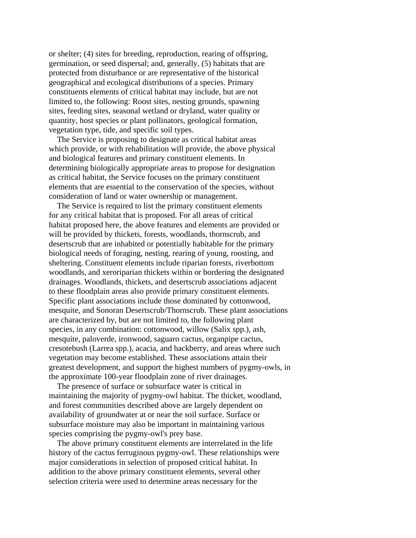or shelter; (4) sites for breeding, reproduction, rearing of offspring, germination, or seed dispersal; and, generally, (5) habitats that are protected from disturbance or are representative of the historical geographical and ecological distributions of a species. Primary constituents elements of critical habitat may include, but are not limited to, the following: Roost sites, nesting grounds, spawning sites, feeding sites, seasonal wetland or dryland, water quality or quantity, host species or plant pollinators, geological formation, vegetation type, tide, and specific soil types.

 The Service is proposing to designate as critical habitat areas which provide, or with rehabilitation will provide, the above physical and biological features and primary constituent elements. In determining biologically appropriate areas to propose for designation as critical habitat, the Service focuses on the primary constituent elements that are essential to the conservation of the species, without consideration of land or water ownership or management.

 The Service is required to list the primary constituent elements for any critical habitat that is proposed. For all areas of critical habitat proposed here, the above features and elements are provided or will be provided by thickets, forests, woodlands, thornscrub, and desertscrub that are inhabited or potentially habitable for the primary biological needs of foraging, nesting, rearing of young, roosting, and sheltering. Constituent elements include riparian forests, riverbottom woodlands, and xeroriparian thickets within or bordering the designated drainages. Woodlands, thickets, and desertscrub associations adjacent to these floodplain areas also provide primary constituent elements. Specific plant associations include those dominated by cottonwood, mesquite, and Sonoran Desertscrub/Thornscrub. These plant associations are characterized by, but are not limited to, the following plant species, in any combination: cottonwood, willow (Salix spp.), ash, mesquite, paloverde, ironwood, saguaro cactus, organpipe cactus, cresotebush (Larrea spp.), acacia, and hackberry, and areas where such vegetation may become established. These associations attain their greatest development, and support the highest numbers of pygmy-owls, in the approximate 100-year floodplain zone of river drainages.

 The presence of surface or subsurface water is critical in maintaining the majority of pygmy-owl habitat. The thicket, woodland, and forest communities described above are largely dependent on availability of groundwater at or near the soil surface. Surface or subsurface moisture may also be important in maintaining various species comprising the pygmy-owl's prey base.

 The above primary constituent elements are interrelated in the life history of the cactus ferruginous pygmy-owl. These relationships were major considerations in selection of proposed critical habitat. In addition to the above primary constituent elements, several other selection criteria were used to determine areas necessary for the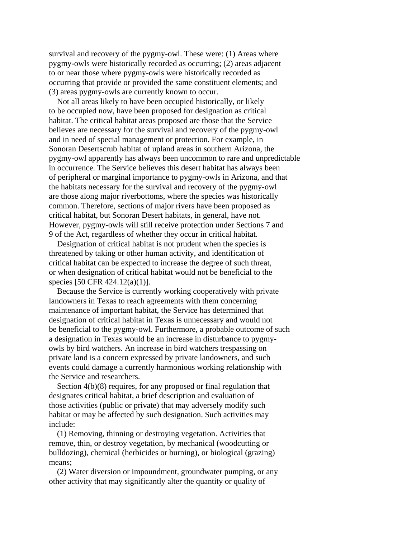survival and recovery of the pygmy-owl. These were: (1) Areas where pygmy-owls were historically recorded as occurring; (2) areas adjacent to or near those where pygmy-owls were historically recorded as occurring that provide or provided the same constituent elements; and (3) areas pygmy-owls are currently known to occur.

 Not all areas likely to have been occupied historically, or likely to be occupied now, have been proposed for designation as critical habitat. The critical habitat areas proposed are those that the Service believes are necessary for the survival and recovery of the pygmy-owl and in need of special management or protection. For example, in Sonoran Desertscrub habitat of upland areas in southern Arizona, the pygmy-owl apparently has always been uncommon to rare and unpredictable in occurrence. The Service believes this desert habitat has always been of peripheral or marginal importance to pygmy-owls in Arizona, and that the habitats necessary for the survival and recovery of the pygmy-owl are those along major riverbottoms, where the species was historically common. Therefore, sections of major rivers have been proposed as critical habitat, but Sonoran Desert habitats, in general, have not. However, pygmy-owls will still receive protection under Sections 7 and 9 of the Act, regardless of whether they occur in critical habitat.

 Designation of critical habitat is not prudent when the species is threatened by taking or other human activity, and identification of critical habitat can be expected to increase the degree of such threat, or when designation of critical habitat would not be beneficial to the species [50 CFR 424.12(a)(1)].

 Because the Service is currently working cooperatively with private landowners in Texas to reach agreements with them concerning maintenance of important habitat, the Service has determined that designation of critical habitat in Texas is unnecessary and would not be beneficial to the pygmy-owl. Furthermore, a probable outcome of such a designation in Texas would be an increase in disturbance to pygmyowls by bird watchers. An increase in bird watchers trespassing on private land is a concern expressed by private landowners, and such events could damage a currently harmonious working relationship with the Service and researchers.

Section  $4(b)(8)$  requires, for any proposed or final regulation that designates critical habitat, a brief description and evaluation of those activities (public or private) that may adversely modify such habitat or may be affected by such designation. Such activities may include:

 (1) Removing, thinning or destroying vegetation. Activities that remove, thin, or destroy vegetation, by mechanical (woodcutting or bulldozing), chemical (herbicides or burning), or biological (grazing) means;

 (2) Water diversion or impoundment, groundwater pumping, or any other activity that may significantly alter the quantity or quality of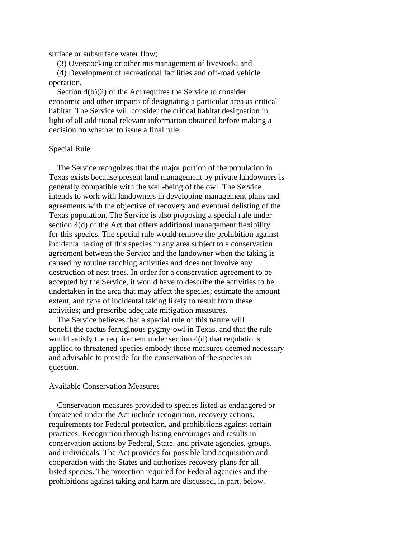surface or subsurface water flow;

 (3) Overstocking or other mismanagement of livestock; and (4) Development of recreational facilities and off-road vehicle operation.

 Section 4(b)(2) of the Act requires the Service to consider economic and other impacts of designating a particular area as critical habitat. The Service will consider the critical habitat designation in light of all additional relevant information obtained before making a decision on whether to issue a final rule.

# Special Rule

 The Service recognizes that the major portion of the population in Texas exists because present land management by private landowners is generally compatible with the well-being of the owl. The Service intends to work with landowners in developing management plans and agreements with the objective of recovery and eventual delisting of the Texas population. The Service is also proposing a special rule under section 4(d) of the Act that offers additional management flexibility for this species. The special rule would remove the prohibition against incidental taking of this species in any area subject to a conservation agreement between the Service and the landowner when the taking is caused by routine ranching activities and does not involve any destruction of nest trees. In order for a conservation agreement to be accepted by the Service, it would have to describe the activities to be undertaken in the area that may affect the species; estimate the amount extent, and type of incidental taking likely to result from these activities; and prescribe adequate mitigation measures.

 The Service believes that a special rule of this nature will benefit the cactus ferruginous pygmy-owl in Texas, and that the rule would satisfy the requirement under section 4(d) that regulations applied to threatened species embody those measures deemed necessary and advisable to provide for the conservation of the species in question.

# Available Conservation Measures

 Conservation measures provided to species listed as endangered or threatened under the Act include recognition, recovery actions, requirements for Federal protection, and prohibitions against certain practices. Recognition through listing encourages and results in conservation actions by Federal, State, and private agencies, groups, and individuals. The Act provides for possible land acquisition and cooperation with the States and authorizes recovery plans for all listed species. The protection required for Federal agencies and the prohibitions against taking and harm are discussed, in part, below.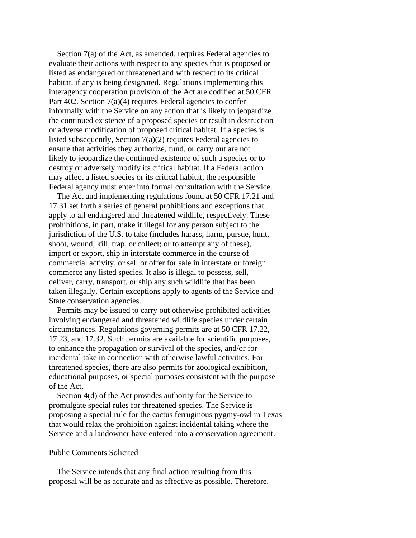Section 7(a) of the Act, as amended, requires Federal agencies to evaluate their actions with respect to any species that is proposed or listed as endangered or threatened and with respect to its critical habitat, if any is being designated. Regulations implementing this interagency cooperation provision of the Act are codified at 50 CFR Part 402. Section  $7(a)(4)$  requires Federal agencies to confer informally with the Service on any action that is likely to jeopardize the continued existence of a proposed species or result in destruction or adverse modification of proposed critical habitat. If a species is listed subsequently, Section  $7(a)(2)$  requires Federal agencies to ensure that activities they authorize, fund, or carry out are not likely to jeopardize the continued existence of such a species or to destroy or adversely modify its critical habitat. If a Federal action may affect a listed species or its critical habitat, the responsible Federal agency must enter into formal consultation with the Service.

 The Act and implementing regulations found at 50 CFR 17.21 and 17.31 set forth a series of general prohibitions and exceptions that apply to all endangered and threatened wildlife, respectively. These prohibitions, in part, make it illegal for any person subject to the jurisdiction of the U.S. to take (includes harass, harm, pursue, hunt, shoot, wound, kill, trap, or collect; or to attempt any of these), import or export, ship in interstate commerce in the course of commercial activity, or sell or offer for sale in interstate or foreign commerce any listed species. It also is illegal to possess, sell, deliver, carry, transport, or ship any such wildlife that has been taken illegally. Certain exceptions apply to agents of the Service and State conservation agencies.

 Permits may be issued to carry out otherwise prohibited activities involving endangered and threatened wildlife species under certain circumstances. Regulations governing permits are at 50 CFR 17.22, 17.23, and 17.32. Such permits are available for scientific purposes, to enhance the propagation or survival of the species, and/or for incidental take in connection with otherwise lawful activities. For threatened species, there are also permits for zoological exhibition, educational purposes, or special purposes consistent with the purpose of the Act.

 Section 4(d) of the Act provides authority for the Service to promulgate special rules for threatened species. The Service is proposing a special rule for the cactus ferruginous pygmy-owl in Texas that would relax the prohibition against incidental taking where the Service and a landowner have entered into a conservation agreement.

# Public Comments Solicited

 The Service intends that any final action resulting from this proposal will be as accurate and as effective as possible. Therefore,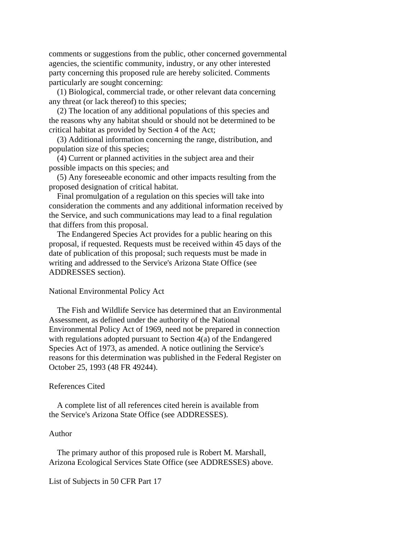comments or suggestions from the public, other concerned governmental agencies, the scientific community, industry, or any other interested party concerning this proposed rule are hereby solicited. Comments particularly are sought concerning:

 (1) Biological, commercial trade, or other relevant data concerning any threat (or lack thereof) to this species;

 (2) The location of any additional populations of this species and the reasons why any habitat should or should not be determined to be critical habitat as provided by Section 4 of the Act;

 (3) Additional information concerning the range, distribution, and population size of this species;

 (4) Current or planned activities in the subject area and their possible impacts on this species; and

 (5) Any foreseeable economic and other impacts resulting from the proposed designation of critical habitat.

 Final promulgation of a regulation on this species will take into consideration the comments and any additional information received by the Service, and such communications may lead to a final regulation that differs from this proposal.

 The Endangered Species Act provides for a public hearing on this proposal, if requested. Requests must be received within 45 days of the date of publication of this proposal; such requests must be made in writing and addressed to the Service's Arizona State Office (see ADDRESSES section).

# National Environmental Policy Act

 The Fish and Wildlife Service has determined that an Environmental Assessment, as defined under the authority of the National Environmental Policy Act of 1969, need not be prepared in connection with regulations adopted pursuant to Section 4(a) of the Endangered Species Act of 1973, as amended. A notice outlining the Service's reasons for this determination was published in the Federal Register on October 25, 1993 (48 FR 49244).

#### References Cited

 A complete list of all references cited herein is available from the Service's Arizona State Office (see ADDRESSES).

## Author

 The primary author of this proposed rule is Robert M. Marshall, Arizona Ecological Services State Office (see ADDRESSES) above.

List of Subjects in 50 CFR Part 17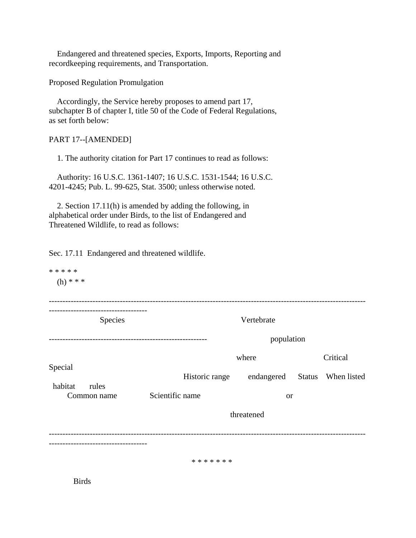Endangered and threatened species, Exports, Imports, Reporting and recordkeeping requirements, and Transportation.

Proposed Regulation Promulgation

 Accordingly, the Service hereby proposes to amend part 17, subchapter B of chapter I, title 50 of the Code of Federal Regulations, as set forth below:

# PART 17--[AMENDED]

1. The authority citation for Part 17 continues to read as follows:

 Authority: 16 U.S.C. 1361-1407; 16 U.S.C. 1531-1544; 16 U.S.C. 4201-4245; Pub. L. 99-625, Stat. 3500; unless otherwise noted.

 2. Section 17.11(h) is amended by adding the following, in alphabetical order under Birds, to the list of Endangered and Threatened Wildlife, to read as follows:

Sec. 17.11 Endangered and threatened wildlife.

\* \* \* \* \*  $(h) * * *$ -------------------------------------------------------------------------------------------------------------------- ------------------------------------ Species **Vertebrate** ---------------------------------------------------------- population where  $Critical$ Special Historic range endangered Status When listed habitat rules Common name Scientific name or threatened -------------------------------------------------------------------------------------------------------------------- ------------------------------------

\* \* \* \* \* \* \*

Birds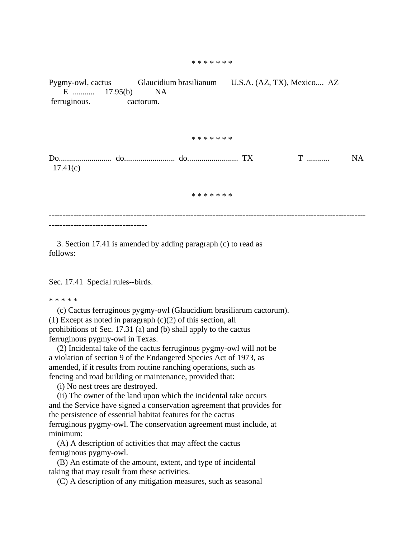#### \* \* \* \* \* \* \*

Pygmy-owl, cactus Glaucidium brasilianum U.S.A. (AZ, TX), Mexico.... AZ E ........... 17.95(b) NA ferruginous. cactorum. \* \* \* \* \* \* \* Do.......................... do......................... do......................... TX T ........... NA 17.41(c) \* \* \* \* \* \* \* --------------------------------------------------------------------------------------------------------------------

 3. Section 17.41 is amended by adding paragraph (c) to read as follows:

Sec. 17.41 Special rules--birds.

#### \* \* \* \* \*

 (c) Cactus ferruginous pygmy-owl (Glaucidium brasiliarum cactorum). (1) Except as noted in paragraph  $(c)(2)$  of this section, all prohibitions of Sec. 17.31 (a) and (b) shall apply to the cactus ferruginous pygmy-owl in Texas.

 (2) Incidental take of the cactus ferruginous pygmy-owl will not be a violation of section 9 of the Endangered Species Act of 1973, as amended, if it results from routine ranching operations, such as fencing and road building or maintenance, provided that:

(i) No nest trees are destroyed.

 (ii) The owner of the land upon which the incidental take occurs and the Service have signed a conservation agreement that provides for the persistence of essential habitat features for the cactus ferruginous pygmy-owl. The conservation agreement must include, at minimum:

 (A) A description of activities that may affect the cactus ferruginous pygmy-owl.

 (B) An estimate of the amount, extent, and type of incidental taking that may result from these activities.

(C) A description of any mitigation measures, such as seasonal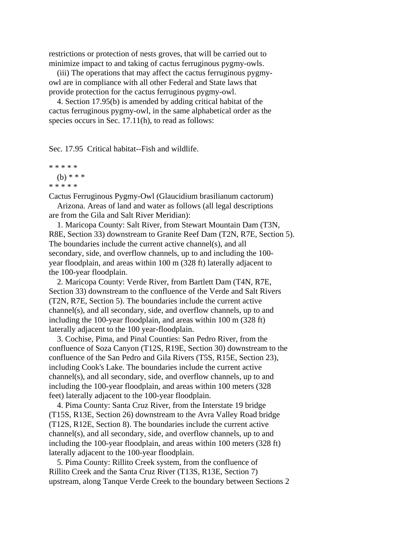restrictions or protection of nests groves, that will be carried out to minimize impact to and taking of cactus ferruginous pygmy-owls.

 (iii) The operations that may affect the cactus ferruginous pygmyowl are in compliance with all other Federal and State laws that provide protection for the cactus ferruginous pygmy-owl.

 4. Section 17.95(b) is amended by adding critical habitat of the cactus ferruginous pygmy-owl, in the same alphabetical order as the species occurs in Sec. 17.11(h), to read as follows:

Sec. 17.95 Critical habitat--Fish and wildlife.

```
* * * * *
(b) * * ** * * * *
```
Cactus Ferruginous Pygmy-Owl (Glaucidium brasilianum cactorum)

 Arizona. Areas of land and water as follows (all legal descriptions are from the Gila and Salt River Meridian):

 1. Maricopa County: Salt River, from Stewart Mountain Dam (T3N, R8E, Section 33) downstream to Granite Reef Dam (T2N, R7E, Section 5). The boundaries include the current active channel(s), and all secondary, side, and overflow channels, up to and including the 100 year floodplain, and areas within 100 m (328 ft) laterally adjacent to the 100-year floodplain.

 2. Maricopa County: Verde River, from Bartlett Dam (T4N, R7E, Section 33) downstream to the confluence of the Verde and Salt Rivers (T2N, R7E, Section 5). The boundaries include the current active channel(s), and all secondary, side, and overflow channels, up to and including the 100-year floodplain, and areas within 100 m (328 ft) laterally adjacent to the 100 year-floodplain.

 3. Cochise, Pima, and Pinal Counties: San Pedro River, from the confluence of Soza Canyon (T12S, R19E, Section 30) downstream to the confluence of the San Pedro and Gila Rivers (T5S, R15E, Section 23), including Cook's Lake. The boundaries include the current active channel(s), and all secondary, side, and overflow channels, up to and including the 100-year floodplain, and areas within 100 meters (328 feet) laterally adjacent to the 100-year floodplain.

 4. Pima County: Santa Cruz River, from the Interstate 19 bridge (T15S, R13E, Section 26) downstream to the Avra Valley Road bridge (T12S, R12E, Section 8). The boundaries include the current active channel(s), and all secondary, side, and overflow channels, up to and including the 100-year floodplain, and areas within 100 meters (328 ft) laterally adjacent to the 100-year floodplain.

 5. Pima County: Rillito Creek system, from the confluence of Rillito Creek and the Santa Cruz River (T13S, R13E, Section 7) upstream, along Tanque Verde Creek to the boundary between Sections 2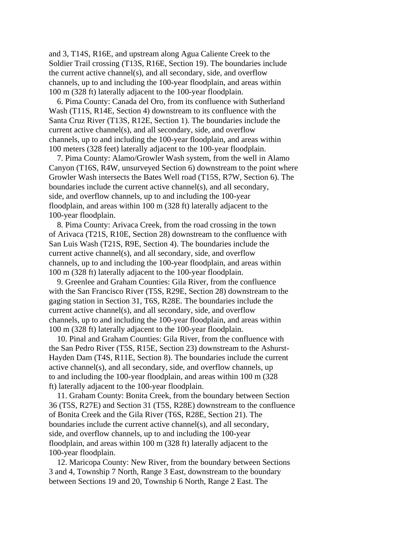and 3, T14S, R16E, and upstream along Agua Caliente Creek to the Soldier Trail crossing (T13S, R16E, Section 19). The boundaries include the current active channel(s), and all secondary, side, and overflow channels, up to and including the 100-year floodplain, and areas within 100 m (328 ft) laterally adjacent to the 100-year floodplain.

 6. Pima County: Canada del Oro, from its confluence with Sutherland Wash (T11S, R14E, Section 4) downstream to its confluence with the Santa Cruz River (T13S, R12E, Section 1). The boundaries include the current active channel(s), and all secondary, side, and overflow channels, up to and including the 100-year floodplain, and areas within 100 meters (328 feet) laterally adjacent to the 100-year floodplain.

 7. Pima County: Alamo/Growler Wash system, from the well in Alamo Canyon (T16S, R4W, unsurveyed Section 6) downstream to the point where Growler Wash intersects the Bates Well road (T15S, R7W, Section 6). The boundaries include the current active channel(s), and all secondary, side, and overflow channels, up to and including the 100-year floodplain, and areas within 100 m (328 ft) laterally adjacent to the 100-year floodplain.

 8. Pima County: Arivaca Creek, from the road crossing in the town of Arivaca (T21S, R10E, Section 28) downstream to the confluence with San Luis Wash (T21S, R9E, Section 4). The boundaries include the current active channel(s), and all secondary, side, and overflow channels, up to and including the 100-year floodplain, and areas within 100 m (328 ft) laterally adjacent to the 100-year floodplain.

 9. Greenlee and Graham Counties: Gila River, from the confluence with the San Francisco River (T5S, R29E, Section 28) downstream to the gaging station in Section 31, T6S, R28E. The boundaries include the current active channel(s), and all secondary, side, and overflow channels, up to and including the 100-year floodplain, and areas within 100 m (328 ft) laterally adjacent to the 100-year floodplain.

 10. Pinal and Graham Counties: Gila River, from the confluence with the San Pedro River (T5S, R15E, Section 23) downstream to the Ashurst-Hayden Dam (T4S, R11E, Section 8). The boundaries include the current active channel(s), and all secondary, side, and overflow channels, up to and including the 100-year floodplain, and areas within 100 m (328 ft) laterally adjacent to the 100-year floodplain.

 11. Graham County: Bonita Creek, from the boundary between Section 36 (T5S, R27E) and Section 31 (T5S, R28E) downstream to the confluence of Bonita Creek and the Gila River (T6S, R28E, Section 21). The boundaries include the current active channel(s), and all secondary, side, and overflow channels, up to and including the 100-year floodplain, and areas within 100 m (328 ft) laterally adjacent to the 100-year floodplain.

 12. Maricopa County: New River, from the boundary between Sections 3 and 4, Township 7 North, Range 3 East, downstream to the boundary between Sections 19 and 20, Township 6 North, Range 2 East. The